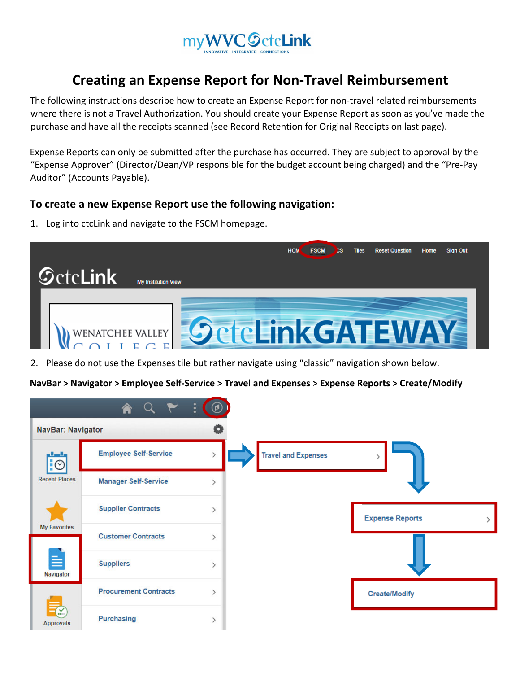

## **Creating an Expense Report for Non‐Travel Reimbursement**

The following instructions describe how to create an Expense Report for non-travel related reimbursements where there is not a Travel Authorization. You should create your Expense Report as soon as you've made the purchase and have all the receipts scanned (see Record Retention for Original Receipts on last page).

Expense Reports can only be submitted after the purchase has occurred. They are subject to approval by the "Expense Approver" (Director/Dean/VP responsible for the budget account being charged) and the "Pre‐Pay Auditor" (Accounts Payable).

## **To create a new Expense Report use the following navigation:**

1. Log into ctcLink and navigate to the FSCM homepage.



2. Please do not use the Expenses tile but rather navigate using "classic" navigation shown below.

**NavBar > Navigator > Employee Self‐Service > Travel and Expenses > Expense Reports > Create/Modify**

|                                 |                              | $\ddot{\cdot}$<br>$\circledcirc$ |                            |                        |
|---------------------------------|------------------------------|----------------------------------|----------------------------|------------------------|
| <b>NavBar: Navigator</b>        |                              |                                  |                            |                        |
| $\overline{\overline{\otimes}}$ | <b>Employee Self-Service</b> | $\left\langle \right\rangle$     | <b>Travel and Expenses</b> | ⋋                      |
| <b>Recent Places</b>            | <b>Manager Self-Service</b>  | ⋋                                |                            |                        |
|                                 | <b>Supplier Contracts</b>    | $\mathcal{E}$                    |                            | <b>Expense Reports</b> |
| <b>My Favorites</b>             | <b>Customer Contracts</b>    | $\mathcal{E}$                    |                            |                        |
| $\equiv$<br>Navigator           | <b>Suppliers</b>             | $\mathcal{P}$                    |                            |                        |
| ₹<br><b>Approvals</b>           | <b>Procurement Contracts</b> | $\mathcal{E}$                    |                            | <b>Create/Modify</b>   |
|                                 | Purchasing                   | $\mathcal{P}$                    |                            |                        |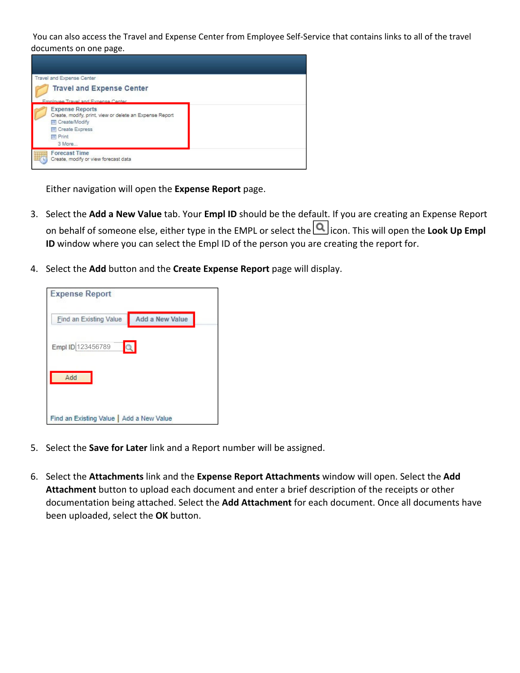You can also access the Travel and Expense Center from Employee Self‐Service that contains links to all of the travel documents on one page.



Either navigation will open the **Expense Report** page.

- 3. Select the **Add a New Value** tab. Your **Empl ID** should be the default. If you are creating an Expense Report on behalf of someone else, either type in the EMPL or select the icon. This will open the **Look Up Empl ID** window where you can select the Empl ID of the person you are creating the report for.
- 4. Select the **Add** button and the **Create Expense Report** page will display.

| <b>Expense Report</b>                    |                        |  |  |  |  |  |  |
|------------------------------------------|------------------------|--|--|--|--|--|--|
| Find an Existing Value                   | <b>Add a New Value</b> |  |  |  |  |  |  |
| Empl ID 123456789                        |                        |  |  |  |  |  |  |
| Add                                      |                        |  |  |  |  |  |  |
| Find an Existing Value   Add a New Value |                        |  |  |  |  |  |  |

- 5. Select the **Save for Later** link and a Report number will be assigned.
- 6. Select the **Attachments** link and the **Expense Report Attachments** window will open. Select the **Add Attachment** button to upload each document and enter a brief description of the receipts or other documentation being attached. Select the **Add Attachment** for each document. Once all documents have been uploaded, select the **OK** button.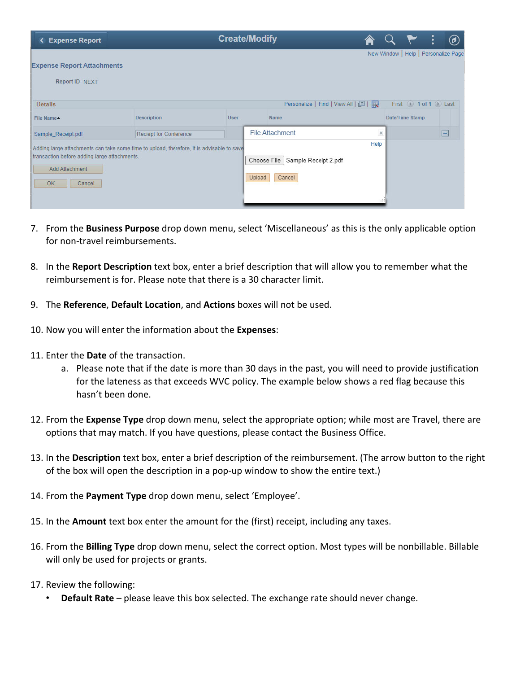| <b>Expense Report</b>                                                                                                                                                       |                               |             | <b>Create/Modify</b>                                    |              |                                      | $\bigcirc$ |
|-----------------------------------------------------------------------------------------------------------------------------------------------------------------------------|-------------------------------|-------------|---------------------------------------------------------|--------------|--------------------------------------|------------|
| <b>Expense Report Attachments</b><br>Report ID NEXT                                                                                                                         |                               |             |                                                         |              | New Window   Help   Personalize Page |            |
| <b>Details</b>                                                                                                                                                              |                               |             | Personalize   Find   View All   2                       |              | First 4 1 of 1 D Last                |            |
| <b>File Name▲</b>                                                                                                                                                           | <b>Description</b>            | <b>User</b> | Name                                                    |              | Date/Time Stamp                      |            |
| Sample Receipt.pdf                                                                                                                                                          | <b>Reciept for Conference</b> |             | <b>File Attachment</b>                                  | $\times$     |                                      | Е          |
| Adding large attachments can take some time to upload, therefore, it is advisable to save<br>transaction before adding large attachments.<br>Add Attachment<br>OK<br>Cancel |                               |             | Choose File<br>Sample Receipt 2.pdf<br>Upload<br>Cancel | Help<br>1.11 |                                      |            |

- 7. From the **Business Purpose** drop down menu, select 'Miscellaneous' as this is the only applicable option for non-travel reimbursements.
- 8. In the **Report Description** text box, enter a brief description that will allow you to remember what the reimbursement is for. Please note that there is a 30 character limit.
- 9. The **Reference**, **Default Location**, and **Actions** boxes will not be used.
- 10. Now you will enter the information about the **Expenses**:
- 11. Enter the **Date** of the transaction.
	- a. Please note that if the date is more than 30 days in the past, you will need to provide justification for the lateness as that exceeds WVC policy. The example below shows a red flag because this hasn't been done.
- 12. From the **Expense Type** drop down menu, select the appropriate option; while most are Travel, there are options that may match. If you have questions, please contact the Business Office.
- 13. In the **Description** text box, enter a brief description of the reimbursement. (The arrow button to the right of the box will open the description in a pop‐up window to show the entire text.)
- 14. From the **Payment Type** drop down menu, select 'Employee'.
- 15. In the **Amount** text box enter the amount for the (first) receipt, including any taxes.
- 16. From the **Billing Type** drop down menu, select the correct option. Most types will be nonbillable. Billable will only be used for projects or grants.
- 17. Review the following:
	- **Default Rate** please leave this box selected. The exchange rate should never change.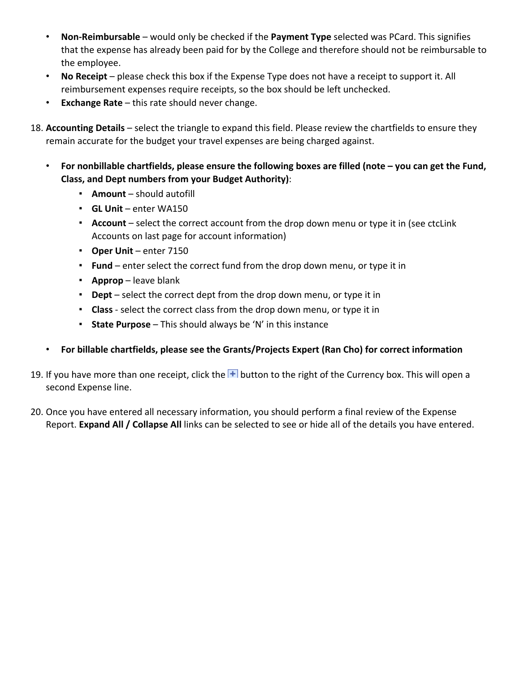- **Non‐Reimbursable** would only be checked if the **Payment Type** selected was PCard. This signifies that the expense has already been paid for by the College and therefore should not be reimbursable to the employee.
- **No Receipt** please check this box if the Expense Type does not have a receipt to support it. All reimbursement expenses require receipts, so the box should be left unchecked.
- **Exchange Rate** this rate should never change.
- 18. **Accounting Details** select the triangle to expand this field. Please review the chartfields to ensure they remain accurate for the budget your travel expenses are being charged against.
	- **For nonbillable chartfields, please ensure the following boxes are filled (note – you can get the Fund, Class, and Dept numbers from your Budget Authority)**:
		- **Amount** should autofill
		- **GL Unit** enter WA150
		- **Account** select the correct account from the drop down menu or type it in (see ctcLink Accounts on last page for account information)
		- **Oper Unit** enter 7150
		- **Fund** enter select the correct fund from the drop down menu, or type it in
		- **Approp** leave blank
		- **Dept** select the correct dept from the drop down menu, or type it in
		- **Class** ‐ select the correct class from the drop down menu, or type it in
		- **State Purpose** This should always be 'N' in this instance
	- **For billable chartfields, please see the Grants/Projects Expert (Ran Cho) for correct information**
- 19. If you have more than one receipt, click the  $\pm$  button to the right of the Currency box. This will open a second Expense line.
- 20. Once you have entered all necessary information, you should perform a final review of the Expense Report. **Expand All / Collapse All** links can be selected to see or hide all of the details you have entered.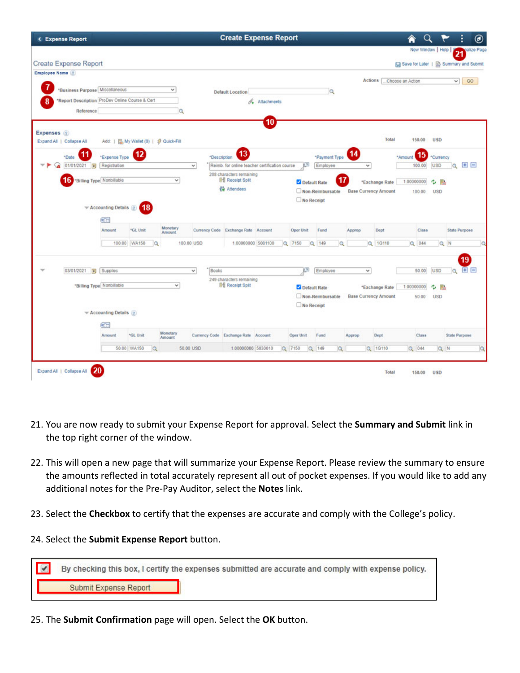| <b>CExpense Report</b>                          |                                         |                      |              |             |       | <b>Create Expense Report</b>                                               |               |           |                  |          |                             |                |                  |           |                      |                      | ◉                                      |
|-------------------------------------------------|-----------------------------------------|----------------------|--------------|-------------|-------|----------------------------------------------------------------------------|---------------|-----------|------------------|----------|-----------------------------|----------------|------------------|-----------|----------------------|----------------------|----------------------------------------|
|                                                 |                                         |                      |              |             |       |                                                                            |               |           |                  |          |                             |                |                  |           | New Window   Help    | 21                   | alize Page                             |
| <b>Create Expense Report</b>                    |                                         |                      |              |             |       |                                                                            |               |           |                  |          |                             |                |                  |           |                      |                      | Save for Later   a) Summary and Submit |
| Employee Name (?)                               |                                         |                      |              |             |       |                                                                            |               |           |                  |          |                             |                |                  |           |                      |                      |                                        |
| "Business Purpose Miscellaneous                 |                                         |                      | $\checkmark$ |             |       |                                                                            |               |           |                  |          |                             | Actions [      | Choose an Action |           |                      | $\vee$               | GO                                     |
| *Report Description ProDev Online Course & Cert |                                         |                      |              |             |       | <b>Default Location</b>                                                    |               |           | Q                |          |                             |                |                  |           |                      |                      |                                        |
| 8<br>Reference                                  |                                         |                      |              | $\alpha$    |       |                                                                            | & Attachments |           |                  |          |                             |                |                  |           |                      |                      |                                        |
|                                                 |                                         |                      |              |             |       |                                                                            | 10            |           |                  |          |                             |                |                  |           |                      |                      |                                        |
| Expenses (2)                                    |                                         |                      |              |             |       |                                                                            |               |           |                  |          |                             |                |                  |           |                      |                      |                                        |
| Expand All   Collapse All                       | Add:   區 My Wallet (0)   $$$ Quick-Fill |                      |              |             |       |                                                                            |               |           |                  |          |                             | Total          |                  | 150.00    | <b>USD</b>           |                      |                                        |
|                                                 |                                         | 12                   |              |             |       | $\overline{13}$                                                            |               |           |                  |          | $\overline{14}$             |                |                  |           |                      |                      |                                        |
| *Date                                           | *Expense Type                           |                      |              |             |       | *Description                                                               |               |           | *Payment Type    |          |                             |                | *Amount          | 15        | Currency             |                      |                                        |
| 01/01/2021<br>Π                                 | Registration                            |                      |              | $\check{~}$ |       | Reimb. for online teacher certification course<br>208 characters remaining |               | 四         | Employee         |          | $\checkmark$                |                |                  | 100.00    | <b>USD</b>           | la                   | $+$ $-$                                |
| 16                                              | "Billing Type Nonbillable               |                      | v            |             |       | <b>Big Receipt Split</b>                                                   |               |           | Oefault Rate     |          |                             | *Exchange Rate | 1.00000000       |           | e.<br><b>Section</b> |                      |                                        |
|                                                 |                                         |                      |              |             |       | <b>No Attendees</b>                                                        |               |           | Non-Reimbursable |          | <b>Base Currency Amount</b> |                |                  | 100.00    | <b>USD</b>           |                      |                                        |
|                                                 | - Accounting Details                    | 18                   |              |             |       |                                                                            |               |           | No Receipt       |          |                             |                |                  |           |                      |                      |                                        |
|                                                 |                                         |                      |              |             |       |                                                                            |               |           |                  |          |                             |                |                  |           |                      |                      |                                        |
|                                                 | <b>SST</b>                              |                      | Monetary     |             |       |                                                                            |               |           |                  |          |                             |                |                  |           |                      |                      |                                        |
|                                                 | Amount                                  | <sup>N</sup> GL Unit | Amount       |             |       | Currency Code Exchange Rate Account                                        |               | Oper Unit | Fund             |          | Approp                      | Dept           |                  | Class     |                      | <b>State Purpose</b> |                                        |
|                                                 | 100.00                                  | WA150                | io.          | 100.00 USD  |       | 1.00000000 5081100                                                         |               | Q 7150    | $Q$ 149          | o        | $\alpha$                    | 1G110          |                  | $Q$ 044   |                      | QN                   |                                        |
|                                                 |                                         |                      |              |             |       |                                                                            |               |           |                  |          |                             |                |                  |           |                      |                      | 19                                     |
| 03/01/2021<br>间                                 | Supplies                                |                      |              | v           | Books |                                                                            |               | (7)       | Employee         |          | $\checkmark$                |                |                  | 50.00     | USD                  | a                    | $+$ $-$                                |
|                                                 |                                         |                      |              |             |       | 249 characters remaining                                                   |               |           |                  |          |                             |                |                  |           |                      |                      |                                        |
|                                                 | "Billing Type Nonbillable               |                      | v            |             |       | <b>Big Receipt Split</b>                                                   |               |           | Default Rate     |          |                             | *Exchange Rate | 1.00000000       |           | Ą,<br><b>Bo</b>      |                      |                                        |
|                                                 |                                         |                      |              |             |       |                                                                            |               |           | Non-Reimbursable |          | <b>Base Currency Amount</b> |                |                  | 50.00     | <b>USD</b>           |                      |                                        |
|                                                 | $\equiv$ Accounting Details $(2)$       |                      |              |             |       |                                                                            |               |           | No Receipt       |          |                             |                |                  |           |                      |                      |                                        |
|                                                 | <b>CELL</b>                             |                      |              |             |       |                                                                            |               |           |                  |          |                             |                |                  |           |                      |                      |                                        |
|                                                 | Amount                                  | *GL Unit             | Monetary     |             |       | Currency Code Exchange Rate Account                                        |               | Oper Unit | Fund             |          |                             | Dept           |                  | Class     |                      | <b>State Purpose</b> |                                        |
|                                                 |                                         |                      | Amount       |             |       |                                                                            |               |           |                  |          | Approp                      |                |                  |           |                      |                      |                                        |
|                                                 |                                         | 50.00 WA150          | $\alpha$     | 50.00 USD   |       | 1.00000000 5030010                                                         |               | Q 7150    | Q 149            | $\alpha$ |                             | Q 1G110        |                  | $Q = 044$ | Q N                  |                      | $\alpha$                               |
|                                                 |                                         |                      |              |             |       |                                                                            |               |           |                  |          |                             |                |                  |           |                      |                      |                                        |
| 20<br>Expand All   Collapse All                 |                                         |                      |              |             |       |                                                                            |               |           |                  |          |                             | Total          |                  | 150.00    | <b>USD</b>           |                      |                                        |
|                                                 |                                         |                      |              |             |       |                                                                            |               |           |                  |          |                             |                |                  |           |                      |                      |                                        |

- 21. You are now ready to submit your Expense Report for approval. Select the **Summary and Submit** link in the top right corner of the window.
- 22. This will open a new page that will summarize your Expense Report. Please review the summary to ensure the amounts reflected in total accurately represent all out of pocket expenses. If you would like to add any additional notes for the Pre‐Pay Auditor, select the **Notes** link.
- 23. Select the **Checkbox** to certify that the expenses are accurate and comply with the College's policy.
- 24. Select the **Submit Expense Report** button.

|                       | By checking this box, I certify the expenses submitted are accurate and comply with expense policy. |
|-----------------------|-----------------------------------------------------------------------------------------------------|
| Submit Expense Report |                                                                                                     |

25. The **Submit Confirmation** page will open. Select the **OK** button.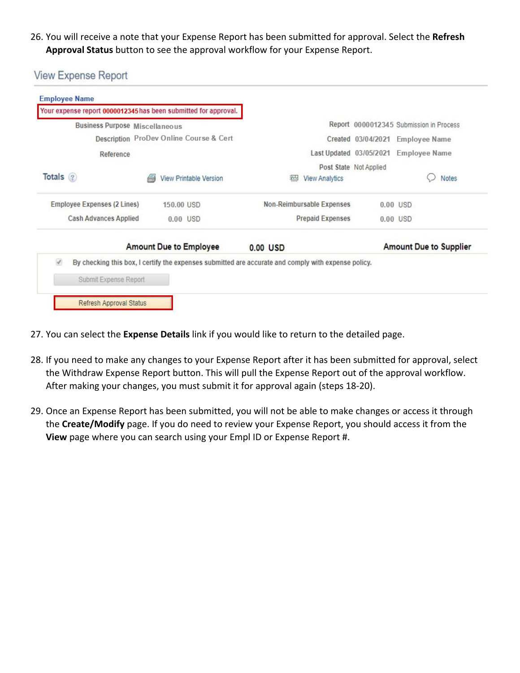26. You will receive a note that your Expense Report has been submitted for approval. Select the **Refresh Approval Status** button to see the approval workflow for your Expense Report.

**View Expense Report** 

|                                       | Your expense report 0000012345 has been submitted for approval. |                                                                                                     |                         |                                              |  |  |
|---------------------------------------|-----------------------------------------------------------------|-----------------------------------------------------------------------------------------------------|-------------------------|----------------------------------------------|--|--|
| <b>Business Purpose Miscellaneous</b> |                                                                 |                                                                                                     |                         | Report 0000012345 Submission in Process      |  |  |
|                                       | Description ProDev Online Course & Cert                         |                                                                                                     | Created 03/04/2021      | <b>Employee Name</b><br><b>Employee Name</b> |  |  |
| Reference                             |                                                                 |                                                                                                     | Last Updated 03/05/2021 |                                              |  |  |
| Totals ?                              | <b>View Printable Version</b>                                   | <b>View Analytics</b><br>200                                                                        | Post State Not Applied  | Notes                                        |  |  |
| Employee Expenses (2 Lines)           | 150.00 USD                                                      | Non-Reimbursable Expenses                                                                           |                         | $0.00$ USD                                   |  |  |
| <b>Cash Advances Applied</b>          | $0.00$ USD                                                      | <b>Prepaid Expenses</b>                                                                             |                         | $0.00$ USD                                   |  |  |
|                                       | <b>Amount Due to Employee</b>                                   | $0.00$ USD                                                                                          |                         | <b>Amount Due to Supplier</b>                |  |  |
| $\checkmark$                          |                                                                 | By checking this box, I certify the expenses submitted are accurate and comply with expense policy. |                         |                                              |  |  |
| Submit Expense Report                 |                                                                 |                                                                                                     |                         |                                              |  |  |

- 27. You can select the **Expense Details** link if you would like to return to the detailed page.
- 28. If you need to make any changes to your Expense Report after it has been submitted for approval, select the Withdraw Expense Report button. This will pull the Expense Report out of the approval workflow. After making your changes, you must submit it for approval again (steps 18‐20).
- 29. Once an Expense Report has been submitted, you will not be able to make changes or access it through the **Create/Modify** page. If you do need to review your Expense Report, you should access it from the **View** page where you can search using your Empl ID or Expense Report #.